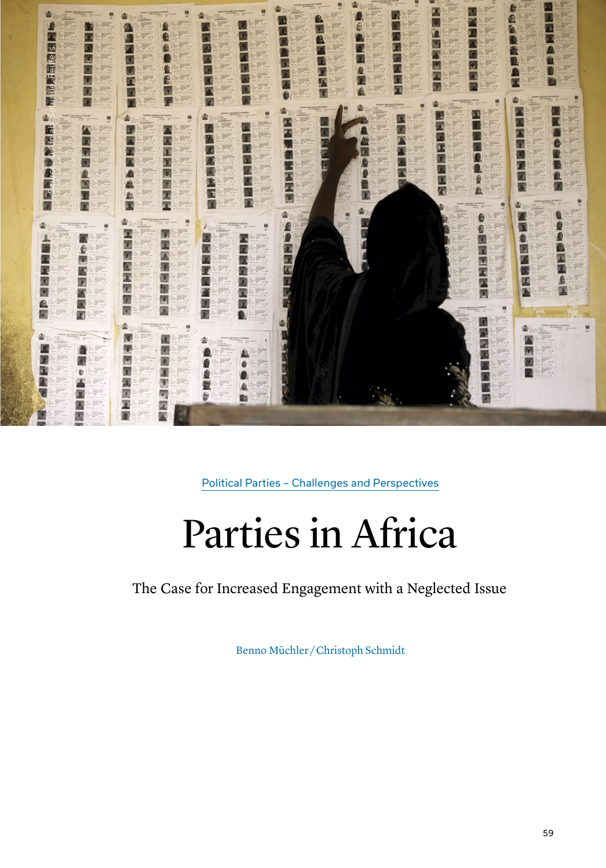

Political Parties – Challenges and Perspectives

# Parties in Africa

The Case for Increased Engagement with a Neglected Issue

Benno Müchler / Christoph Schmidt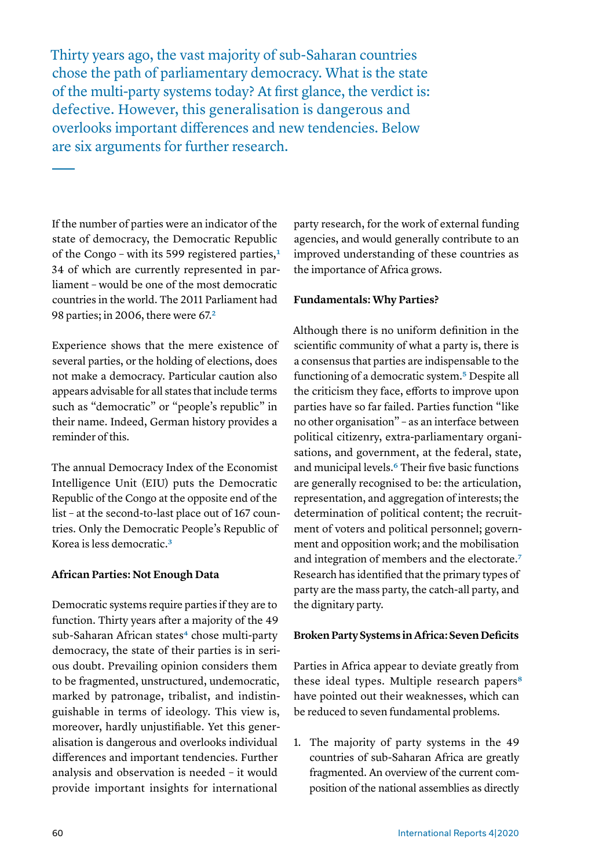Thirty years ago, the vast majority of sub-Saharan countries chose the path of parliamentary democracy. What is the state of the multi-party systems today? At first glance, the verdict is: defective. However, this generalisation is dangerous and overlooks important differences and new tendencies. Below are six arguments for further research.

If the number of parties were an indicator of the state of democracy, the Democratic Republic of the Congo - with its 599 registered parties,<sup>1</sup> 34 of which are currently represented in parliament – would be one of the most democratic countries in the world. The 2011 Parliament had 98 parties; in 2006, there were 67[.2](#page-10-1)

Experience shows that the mere existence of several parties, or the holding of elections, does not make a democracy. Particular caution also appears advisable for all states that include terms such as "democratic" or "people's republic" in their name. Indeed, German history provides a reminder of this.

The annual Democracy Index of the Economist Intelligence Unit (EIU) puts the Democratic Republic of the Congo at the opposite end of the list – at the second-to-last place out of 167 countries. Only the Democratic People's Republic of Korea is less democratic[.3](#page-10-2)

## **African Parties: Not Enough Data**

Democratic systems require parties if they are to function. Thirty years after a majority of the 49 sub-Saharan African states<sup>4</sup> chose multi-party democracy, the state of their parties is in serious doubt. Prevailing opinion considers them to be fragmented, unstructured, undemocratic, marked by patronage, tribalist, and indistinguishable in terms of ideology. This view is, moreover, hardly unjustifiable. Yet this generalisation is dangerous and overlooks individual differences and important tendencies. Further analysis and observation is needed – it would provide important insights for international

party research, for the work of external funding agencies, and would generally contribute to an improved understanding of these countries as the importance of Africa grows.

# **Fundamentals: Why Parties?**

Although there is no uniform definition in the scientific community of what a party is, there is a consensus that parties are indispensable to the functioning of a democratic system.[5](#page-10-4) Despite all the criticism they face, efforts to improve upon parties have so far failed. Parties function "like no other organisation" – as an interface between political citizenry, extra-parliamentary organisations, and government, at the federal, state, and municipal levels[.6](#page-10-5) Their five basic functions are generally recognised to be: the articulation, representation, and aggregation of interests; the determination of political content; the recruitment of voters and political personnel; government and opposition work; and the mobilisation and integration of members and the electorate.[7](#page-10-6) Research has identified that the primary types of party are the mass party, the catch-all party, and the dignitary party.

## **Broken Party Systems in Africa: Seven Deficits**

Parties in Africa appear to deviate greatly from these ideal types. Multiple research papers<sup>[8](#page-10-7)</sup> have pointed out their weaknesses, which can be reduced to seven fundamental problems.

1. The majority of party systems in the 49 countries of sub-Saharan Africa are greatly fragmented. An overview of the current composition of the national assemblies as directly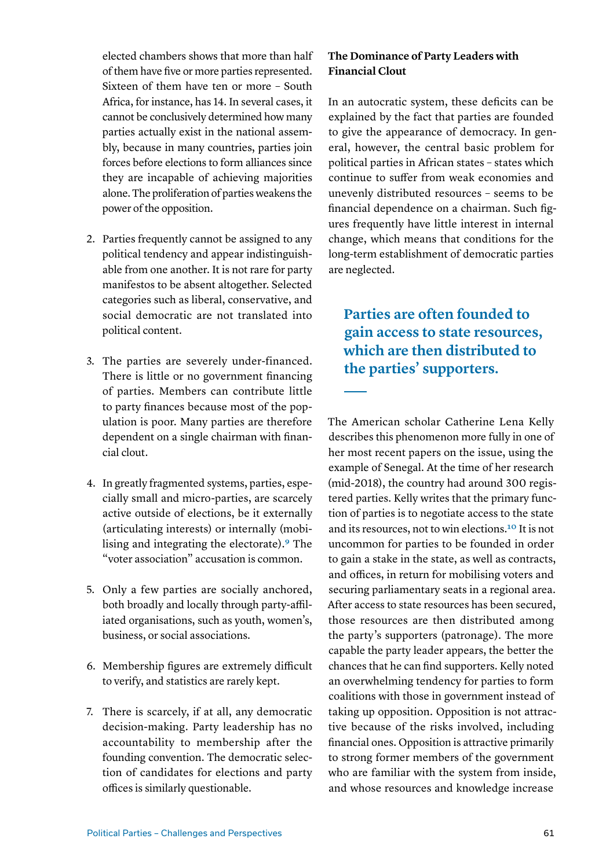elected chambers shows that more than half of them have five or more parties represented. Sixteen of them have ten or more – South Africa, for instance, has 14. In several cases, it cannot be conclusively determined how many parties actually exist in the national assembly, because in many countries, parties join forces before elections to form alliances since they are incapable of achieving majorities alone. The proliferation of parties weakens the power of the opposition.

- 2. Parties frequently cannot be assigned to any political tendency and appear indistinguishable from one another. It is not rare for party manifestos to be absent altogether. Selected categories such as liberal, conservative, and social democratic are not translated into political content.
- 3. The parties are severely under-financed. There is little or no government financing of parties. Members can contribute little to party finances because most of the population is poor. Many parties are therefore dependent on a single chairman with financial clout.
- 4. In greatly fragmented systems, parties, especially small and micro-parties, are scarcely active outside of elections, be it externally (articulating interests) or internally (mobilising and integrating the electorate)[.9](#page-10-8) The "voter association" accusation is common.
- 5. Only a few parties are socially anchored, both broadly and locally through party-affiliated organisations, such as youth, women's, business, or social associations.
- 6. Membership figures are extremely difficult to verify, and statistics are rarely kept.
- 7. There is scarcely, if at all, any democratic decision-making. Party leadership has no accountability to membership after the founding convention. The democratic selection of candidates for elections and party offices is similarly questionable.

# **The Dominance of Party Leaders with Financial Clout**

In an autocratic system, these deficits can be explained by the fact that parties are founded to give the appearance of democracy. In general, however, the central basic problem for political parties in African states – states which continue to suffer from weak economies and unevenly distributed resources – seems to be financial dependence on a chairman. Such figures frequently have little interest in internal change, which means that conditions for the long-term establishment of democratic parties are neglected.

# **Parties are often founded to gain access to state resources, which are then distributed to the parties' supporters.**

The American scholar Catherine Lena Kelly describes this phenomenon more fully in one of her most recent papers on the issue, using the example of Senegal. At the time of her research (mid-2018), the country had around 300 registered parties. Kelly writes that the primary function of parties is to negotiate access to the state and its resources, not to win elections[.10](#page-10-9) It is not uncommon for parties to be founded in order to gain a stake in the state, as well as contracts, and offices, in return for mobilising voters and securing parliamentary seats in a regional area. After access to state resources has been secured, those resources are then distributed among the party's supporters (patronage). The more capable the party leader appears, the better the chances that he can find supporters. Kelly noted an overwhelming tendency for parties to form coalitions with those in government instead of taking up opposition. Opposition is not attractive because of the risks involved, including financial ones. Opposition is attractive primarily to strong former members of the government who are familiar with the system from inside, and whose resources and knowledge increase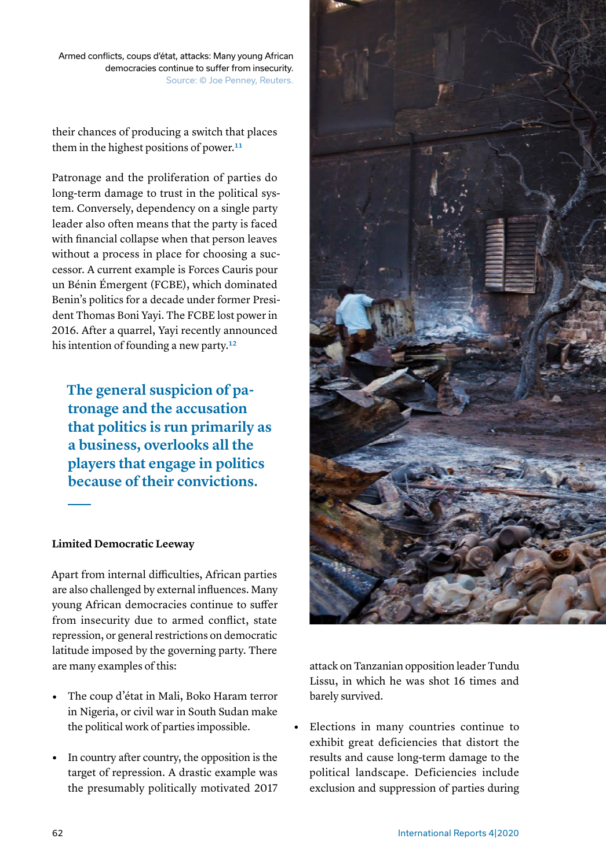Armed conflicts, coups d'état, attacks: Many young African democracies continue to suffer from insecurity. Source: © Joe Penney, Reuters.

their chances of producing a switch that places them in the highest positions of power.<sup>11</sup>

Patronage and the proliferation of parties do long-term damage to trust in the political system. Conversely, dependency on a single party leader also often means that the party is faced with financial collapse when that person leaves without a process in place for choosing a successor. A current example is Forces Cauris pour un Bénin Émergent (FCBE), which dominated Benin's politics for a decade under former President Thomas Boni Yayi. The FCBE lost power in 2016. After a quarrel, Yayi recently announced his intention of founding a new party.<sup>12</sup>

**The general suspicion of patronage and the accusation that politics is run primarily as a business, overlooks all the players that engage in politics because of their convictions.**

## **Limited Democratic Leeway**

Apart from internal difficulties, African parties are also challenged by external influences. Many young African democracies continue to suffer from insecurity due to armed conflict, state repression, or general restrictions on democratic latitude imposed by the governing party. There are many examples of this:

- **•** The coup d'état in Mali, Boko Haram terror in Nigeria, or civil war in South Sudan make the political work of parties impossible.
- **•** In country after country, the opposition is the target of repression. A drastic example was the presumably politically motivated 2017



attack on Tanzanian opposition leader Tundu Lissu, in which he was shot 16 times and barely survived.

**•** Elections in many countries continue to exhibit great deficiencies that distort the results and cause long-term damage to the political landscape. Deficiencies include exclusion and suppression of parties during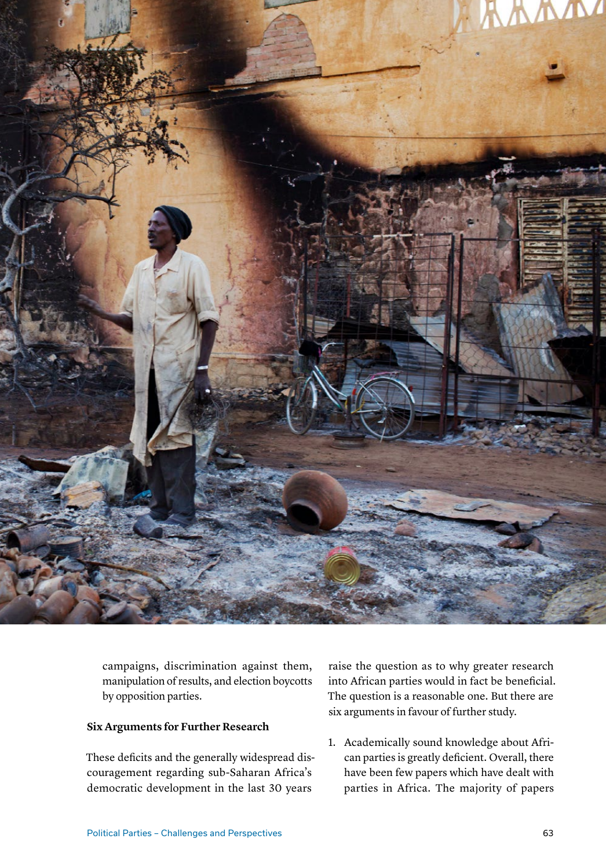

campaigns, discrimination against them, manipulation of results, and election boycotts by opposition parties.

## **Six Arguments for Further Research**

These deficits and the generally widespread discouragement regarding sub-Saharan Africa's democratic development in the last 30 years

raise the question as to why greater research into African parties would in fact be beneficial. The question is a reasonable one. But there are six arguments in favour of further study.

1. Academically sound knowledge about African parties is greatly deficient. Overall, there have been few papers which have dealt with parties in Africa. The majority of papers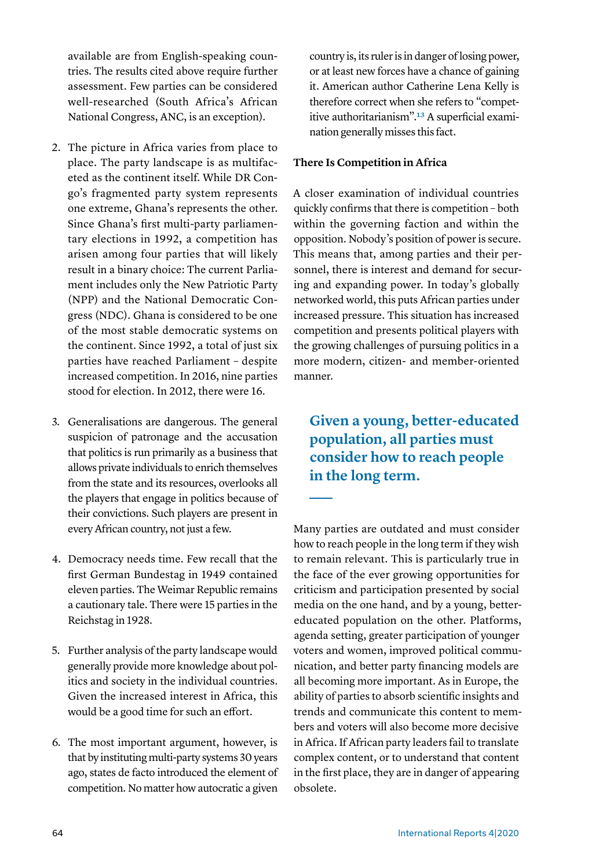available are from English-speaking countries. The results cited above require further assessment. Few parties can be considered well-researched (South Africa's African National Congress, ANC, is an exception).

- 2. The picture in Africa varies from place to place. The party landscape is as multifaceted as the continent itself. While DR Congo's fragmented party system represents one extreme, Ghana's represents the other. Since Ghana's first multi-party parliamentary elections in 1992, a competition has arisen among four parties that will likely result in a binary choice: The current Parliament includes only the New Patriotic Party (NPP) and the National Democratic Congress (NDC). Ghana is considered to be one of the most stable democratic systems on the continent. Since 1992, a total of just six parties have reached Parliament – despite increased competition. In 2016, nine parties stood for election. In 2012, there were 16.
- 3. Generalisations are dangerous. The general suspicion of patronage and the accusation that politics is run primarily as a business that allows private individuals to enrich themselves from the state and its resources, overlooks all the players that engage in politics because of their convictions. Such players are present in every African country, not just a few.
- 4. Democracy needs time. Few recall that the first German Bundestag in 1949 contained eleven parties. The Weimar Republic remains a cautionary tale. There were 15 parties in the Reichstag in 1928.
- 5. Further analysis of the party landscape would generally provide more knowledge about politics and society in the individual countries. Given the increased interest in Africa, this would be a good time for such an effort.
- 6. The most important argument, however, is that by instituting multi-party systems 30 years ago, states de facto introduced the element of competition. No matter how autocratic a given

country is, its ruler is in danger of losing power, or at least new forces have a chance of gaining it. American author Catherine Lena Kelly is therefore correct when she refers to "competitive authoritarianism"[.13](#page-10-12) A superficial examination generally misses this fact.

## **There Is Competition in Africa**

A closer examination of individual countries quickly confirms that there is competition – both within the governing faction and within the opposition. Nobody's position of power is secure. This means that, among parties and their personnel, there is interest and demand for securing and expanding power. In today's globally networked world, this puts African parties under increased pressure. This situation has increased competition and presents political players with the growing challenges of pursuing politics in a more modern, citizen- and member-oriented manner.

# **Given a young, better-educated population, all parties must consider how to reach people in the long term.**

Many parties are outdated and must consider how to reach people in the long term if they wish to remain relevant. This is particularly true in the face of the ever growing opportunities for criticism and participation presented by social media on the one hand, and by a young, bettereducated population on the other. Platforms, agenda setting, greater participation of younger voters and women, improved political communication, and better party financing models are all becoming more important. As in Europe, the ability of parties to absorb scientific insights and trends and communicate this content to members and voters will also become more decisive in Africa. If African party leaders fail to translate complex content, or to understand that content in the first place, they are in danger of appearing obsolete.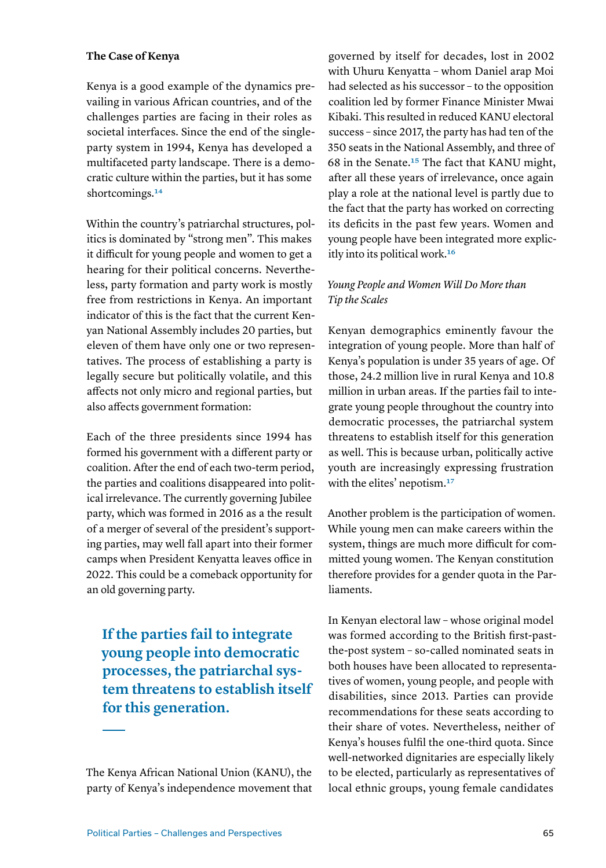## **The Case of Kenya**

Kenya is a good example of the dynamics prevailing in various African countries, and of the challenges parties are facing in their roles as societal interfaces. Since the end of the singleparty system in 1994, Kenya has developed a multifaceted party landscape. There is a democratic culture within the parties, but it has some shortcomings.<sup>14</sup>

Within the country's patriarchal structures, politics is dominated by "strong men". This makes it difficult for young people and women to get a hearing for their political concerns. Nevertheless, party formation and party work is mostly free from restrictions in Kenya. An important indicator of this is the fact that the current Kenyan National Assembly includes 20 parties, but eleven of them have only one or two representatives. The process of establishing a party is legally secure but politically volatile, and this affects not only micro and regional parties, but also affects government formation:

Each of the three presidents since 1994 has formed his government with a different party or coalition. After the end of each two-term period, the parties and coalitions disappeared into political irrelevance. The currently governing Jubilee party, which was formed in 2016 as a the result of a merger of several of the president's supporting parties, may well fall apart into their former camps when President Kenyatta leaves office in 2022. This could be a comeback opportunity for an old governing party.

**If the parties fail to integrate young people into democratic processes, the patriarchal system threatens to establish itself for this generation.**

The Kenya African National Union (KANU), the party of Kenya's independence movement that

governed by itself for decades, lost in 2002 with Uhuru Kenyatta – whom Daniel arap Moi had selected as his successor – to the opposition coalition led by former Finance Minister Mwai Kibaki. This resulted in reduced KANU electoral success – since 2017, the party has had ten of the 350 seats in the National Assembly, and three of 68 in the Senate[.15](#page-10-14) The fact that KANU might, after all these years of irrelevance, once again play a role at the national level is partly due to the fact that the party has worked on correcting its deficits in the past few years. Women and young people have been integrated more explicitly into its political work.[16](#page-10-15)

# *Young People and Women Will Do More than Tip the Scales*

Kenyan demographics eminently favour the integration of young people. More than half of Kenya's population is under 35 years of age. Of those, 24.2 million live in rural Kenya and 10.8 million in urban areas. If the parties fail to integrate young people throughout the country into democratic processes, the patriarchal system threatens to establish itself for this generation as well. This is because urban, politically active youth are increasingly expressing frustration with the elites' nepotism.<sup>17</sup>

Another problem is the participation of women. While young men can make careers within the system, things are much more difficult for committed young women. The Kenyan constitution therefore provides for a gender quota in the Parliaments.

In Kenyan electoral law – whose original model was formed according to the British first-pastthe-post system – so-called nominated seats in both houses have been allocated to representatives of women, young people, and people with disabilities, since 2013. Parties can provide recommendations for these seats according to their share of votes. Nevertheless, neither of Kenya's houses fulfil the one-third quota. Since well-networked dignitaries are especially likely to be elected, particularly as representatives of local ethnic groups, young female candidates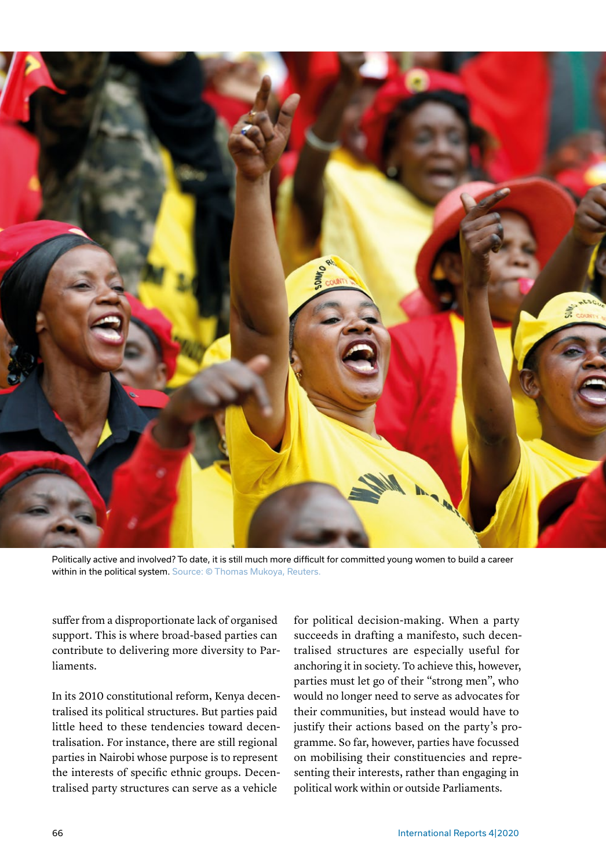

Politically active and involved? To date, it is still much more difficult for committed young women to build a career within in the political system. Source: © Thomas Mukoya, Reuters.

suffer from a disproportionate lack of organised support. This is where broad-based parties can contribute to delivering more diversity to Parliaments.

In its 2010 constitutional reform, Kenya decentralised its political structures. But parties paid little heed to these tendencies toward decentralisation. For instance, there are still regional parties in Nairobi whose purpose is to represent the interests of specific ethnic groups. Decentralised party structures can serve as a vehicle

for political decision-making. When a party succeeds in drafting a manifesto, such decentralised structures are especially useful for anchoring it in society. To achieve this, however, parties must let go of their "strong men", who would no longer need to serve as advocates for their communities, but instead would have to justify their actions based on the party's programme. So far, however, parties have focussed on mobilising their constituencies and representing their interests, rather than engaging in political work within or outside Parliaments.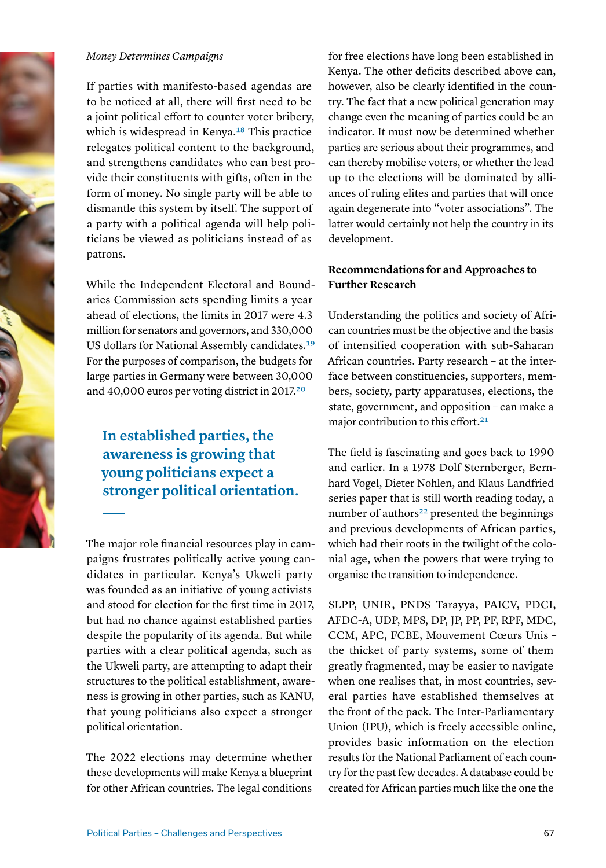

#### *Money Determines Campaigns*

If parties with manifesto-based agendas are to be noticed at all, there will first need to be a joint political effort to counter voter bribery, which is widespread in Kenya.<sup>18</sup> This practice relegates political content to the background, and strengthens candidates who can best provide their constituents with gifts, often in the form of money. No single party will be able to dismantle this system by itself. The support of a party with a political agenda will help politicians be viewed as politicians instead of as patrons.

While the Independent Electoral and Boundaries Commission sets spending limits a year ahead of elections, the limits in 2017 were 4.3 million for senators and governors, and 330,000 US dollars for National Assembly candidates.[19](#page-10-18) For the purposes of comparison, the budgets for large parties in Germany were between 30,000 and 40,000 euros per voting district in 2017[.20](#page-10-19)

# **In established parties, the awareness is growing that young politicians expect a stronger political orientation.**

The major role financial resources play in campaigns frustrates politically active young candidates in particular. Kenya's Ukweli party was founded as an initiative of young activists and stood for election for the first time in 2017, but had no chance against established parties despite the popularity of its agenda. But while parties with a clear political agenda, such as the Ukweli party, are attempting to adapt their structures to the political establishment, awareness is growing in other parties, such as KANU, that young politicians also expect a stronger political orientation.

The 2022 elections may determine whether these developments will make Kenya a blueprint for other African countries. The legal conditions

for free elections have long been established in Kenya. The other deficits described above can, however, also be clearly identified in the country. The fact that a new political generation may change even the meaning of parties could be an indicator. It must now be determined whether parties are serious about their programmes, and can thereby mobilise voters, or whether the lead up to the elections will be dominated by alliances of ruling elites and parties that will once again degenerate into "voter associations". The latter would certainly not help the country in its development.

# **Recommendations for and Approaches to Further Research**

Understanding the politics and society of African countries must be the objective and the basis of intensified cooperation with sub-Saharan African countries. Party research – at the interface between constituencies, supporters, members, society, party apparatuses, elections, the state, government, and opposition – can make a major contribution to this effort.<sup>21</sup>

The field is fascinating and goes back to 1990 and earlier. In a 1978 Dolf Sternberger, Bernhard Vogel, Dieter Nohlen, and Klaus Landfried series paper that is still worth reading today, a number of authors<sup>22</sup> presented the beginnings and previous developments of African parties, which had their roots in the twilight of the colonial age, when the powers that were trying to organise the transition to independence.

SLPP, UNIR, PNDS Tarayya, PAICV, PDCI, AFDC-A, UDP, MPS, DP, JP, PP, PF, RPF, MDC, CCM, APC, FCBE, Mouvement Cœurs Unis – the thicket of party systems, some of them greatly fragmented, may be easier to navigate when one realises that, in most countries, several parties have established themselves at the front of the pack. The Inter-Parliamentary Union (IPU), which is freely accessible online, provides basic information on the election results for the National Parliament of each country for the past few decades. A database could be created for African parties much like the one the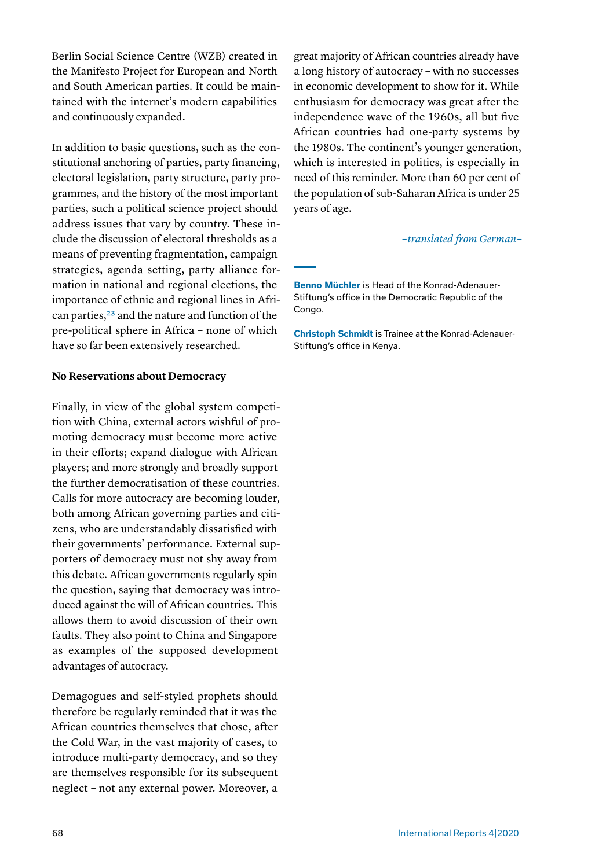Berlin Social Science Centre (WZB) created in the Manifesto Project for European and North and South American parties. It could be maintained with the internet's modern capabilities and continuously expanded.

In addition to basic questions, such as the constitutional anchoring of parties, party financing, electoral legislation, party structure, party programmes, and the history of the most important parties, such a political science project should address issues that vary by country. These include the discussion of electoral thresholds as a means of preventing fragmentation, campaign strategies, agenda setting, party alliance formation in national and regional elections, the importance of ethnic and regional lines in African parties,<sup>23</sup> and the nature and function of the pre-political sphere in Africa – none of which have so far been extensively researched.

#### **No Reservations about Democracy**

Finally, in view of the global system competition with China, external actors wishful of promoting democracy must become more active in their efforts; expand dialogue with African players; and more strongly and broadly support the further democratisation of these countries. Calls for more autocracy are becoming louder, both among African governing parties and citizens, who are understandably dissatisfied with their governments' performance. External supporters of democracy must not shy away from this debate. African governments regularly spin the question, saying that democracy was introduced against the will of African countries. This allows them to avoid discussion of their own faults. They also point to China and Singapore as examples of the supposed development advantages of autocracy.

Demagogues and self-styled prophets should therefore be regularly reminded that it was the African countries themselves that chose, after the Cold War, in the vast majority of cases, to introduce multi-party democracy, and so they are themselves responsible for its subsequent neglect – not any external power. Moreover, a great majority of African countries already have a long history of autocracy – with no successes in economic development to show for it. While enthusiasm for democracy was great after the independence wave of the 1960s, all but five African countries had one-party systems by the 1980s. The continent's younger generation, which is interested in politics, is especially in need of this reminder. More than 60 per cent of the population of sub-Saharan Africa is under 25 years of age.

#### *– translated from German –*

**Benno Müchler** is Head of the Konrad-Adenauer-Stiftung's office in the Democratic Republic of the Congo.

**Christoph Schmidt** is Trainee at the Konrad-Adenauer-Stiftung's office in Kenya.